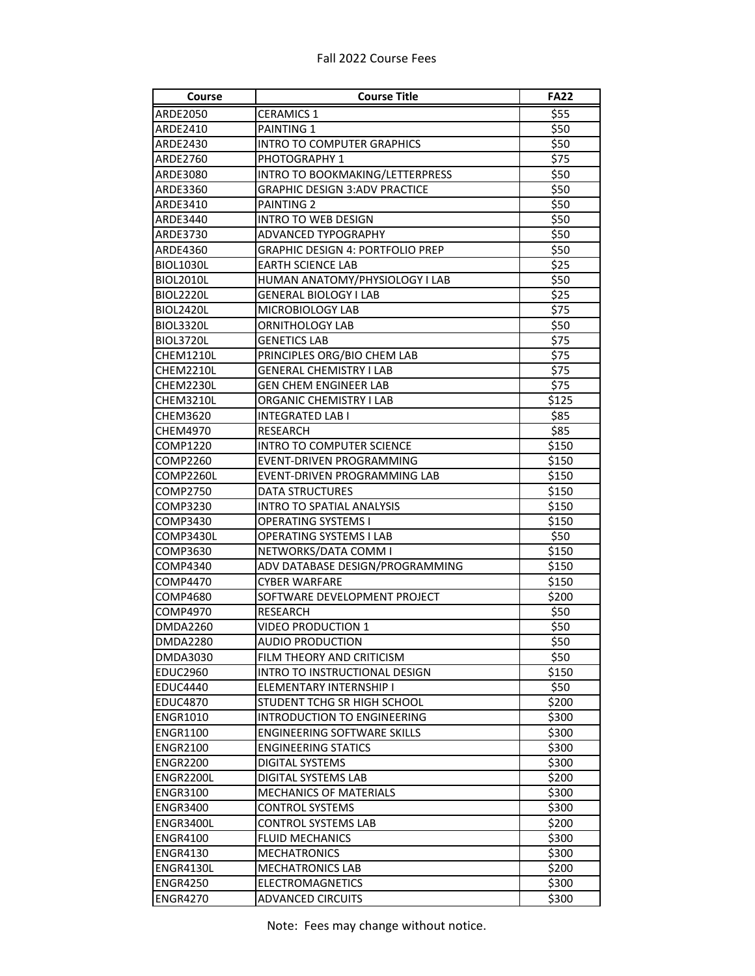## Fall 2022 Course Fees

| Course                      | <b>Course Title</b>                                              | <b>FA22</b>    |
|-----------------------------|------------------------------------------------------------------|----------------|
| ARDE2050                    | <b>CERAMICS 1</b>                                                | \$55           |
| ARDE2410                    | PAINTING 1                                                       | \$50           |
| ARDE2430                    | <b>INTRO TO COMPUTER GRAPHICS</b>                                | \$50           |
| ARDE2760                    | PHOTOGRAPHY 1                                                    | \$75           |
| ARDE3080                    | INTRO TO BOOKMAKING/LETTERPRESS                                  | \$50           |
| ARDE3360                    | <b>GRAPHIC DESIGN 3:ADV PRACTICE</b>                             | \$50           |
| ARDE3410                    | PAINTING 2                                                       | \$50           |
| ARDE3440                    | <b>INTRO TO WEB DESIGN</b>                                       | \$50           |
| ARDE3730                    | ADVANCED TYPOGRAPHY                                              | \$50           |
| ARDE4360                    | <b>GRAPHIC DESIGN 4: PORTFOLIO PREP</b>                          | \$50           |
| BIOL1030L                   | <b>EARTH SCIENCE LAB</b>                                         | \$25           |
| <b>BIOL2010L</b>            | HUMAN ANATOMY/PHYSIOLOGY I LAB                                   | \$50           |
| <b>BIOL2220L</b>            | <b>GENERAL BIOLOGY I LAB</b>                                     | \$25           |
| <b>BIOL2420L</b>            | MICROBIOLOGY LAB                                                 | \$75           |
| <b>BIOL3320L</b>            | ORNITHOLOGY LAB                                                  | \$50           |
| <b>BIOL3720L</b>            | <b>GENETICS LAB</b>                                              | \$75           |
| CHEM1210L                   | PRINCIPLES ORG/BIO CHEM LAB                                      | \$75           |
| CHEM2210L                   | <b>GENERAL CHEMISTRY I LAB</b>                                   | \$75           |
| CHEM2230L                   | <b>GEN CHEM ENGINEER LAB</b>                                     | \$75           |
| CHEM3210L                   | ORGANIC CHEMISTRY I LAB                                          | \$125          |
| CHEM3620                    | <b>INTEGRATED LAB I</b>                                          | \$85           |
| CHEM4970                    | <b>RESEARCH</b>                                                  | \$85           |
| COMP1220                    | INTRO TO COMPUTER SCIENCE                                        | \$150          |
| COMP2260                    | EVENT-DRIVEN PROGRAMMING                                         | \$150          |
| COMP2260L                   | EVENT-DRIVEN PROGRAMMING LAB                                     | \$150          |
| COMP2750                    | <b>DATA STRUCTURES</b>                                           | \$150          |
| COMP3230                    | <b>INTRO TO SPATIAL ANALYSIS</b>                                 | \$150          |
| COMP3430                    | <b>OPERATING SYSTEMS I</b>                                       | \$150          |
| COMP3430L                   | OPERATING SYSTEMS I LAB                                          | \$50           |
| COMP3630                    | NETWORKS/DATA COMM I                                             | \$150          |
| COMP4340                    | ADV DATABASE DESIGN/PROGRAMMING                                  | \$150          |
| COMP4470                    | <b>CYBER WARFARE</b>                                             | \$150          |
| COMP4680                    | SOFTWARE DEVELOPMENT PROJECT                                     | \$200          |
| COMP4970                    | <b>RESEARCH</b>                                                  | \$50           |
| <b>DMDA2260</b>             | <b>VIDEO PRODUCTION 1</b>                                        | \$50           |
|                             | AUDIO PRODUCTION                                                 | \$50           |
| <b>DMDA2280</b>             |                                                                  |                |
| DMDA3030<br><b>EDUC2960</b> | FILM THEORY AND CRITICISM<br>INTRO TO INSTRUCTIONAL DESIGN       | \$50<br>\$150  |
| <b>EDUC4440</b>             | ELEMENTARY INTERNSHIP I                                          | \$50           |
| <b>EDUC4870</b>             | STUDENT TCHG SR HIGH SCHOOL                                      | \$200          |
| <b>ENGR1010</b>             | INTRODUCTION TO ENGINEERING                                      | \$300          |
| <b>ENGR1100</b>             |                                                                  | \$300          |
| <b>ENGR2100</b>             | <b>ENGINEERING SOFTWARE SKILLS</b><br><b>ENGINEERING STATICS</b> |                |
| <b>ENGR2200</b>             |                                                                  | \$300<br>\$300 |
|                             | DIGITAL SYSTEMS                                                  |                |
| ENGR2200L                   | DIGITAL SYSTEMS LAB                                              | \$200          |
| <b>ENGR3100</b>             | <b>MECHANICS OF MATERIALS</b>                                    | \$300          |
| <b>ENGR3400</b>             | <b>CONTROL SYSTEMS</b>                                           | \$300          |
| ENGR3400L                   | <b>CONTROL SYSTEMS LAB</b>                                       | \$200          |
| ENGR4100                    | <b>FLUID MECHANICS</b>                                           | \$300          |
| <b>ENGR4130</b>             | <b>MECHATRONICS</b>                                              | \$300          |
| ENGR4130L                   | <b>MECHATRONICS LAB</b>                                          | \$200          |
| <b>ENGR4250</b>             | ELECTROMAGNETICS                                                 | \$300          |
| <b>ENGR4270</b>             | <b>ADVANCED CIRCUITS</b>                                         | \$300          |

Note: Fees may change without notice.